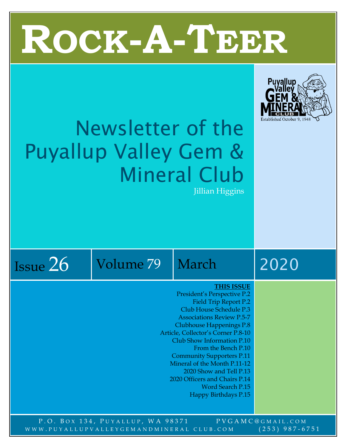# T **ROCK-A-TEER**



## Newsletter of the Puyallup Valley Gem & Mineral Club Jillian Higgins



#### **THIS ISSUE**

- President's Perspective P.2 Field Trip Report P.2 Club House Schedule P.3 Associations Review P.5-7 Clubhouse Happenings P.8 Article, Collector's Corner P.8-10 Club Show Information P.10 From the Bench P.10 Community Supporters P.11 Mineral of the Month P.11-12 2020 Show and Tell P.13 2020 Officers and Chairs P.14 Word Search P.15
	- Happy Birthdays P.15

P.O. BOX 134, PUYALLUP, WA 98371 PVGAMC@GMAIL.COM WWW.PUYALLUPVALLEYGEMANDMINERAL CLUB.COM (253) 987-6751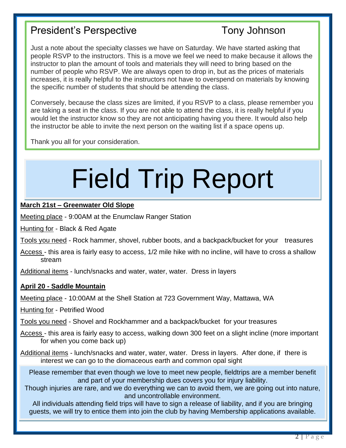#### President's Perspective Tony Johnson

Just a note about the specialty classes we have on Saturday. We have started asking that people RSVP to the instructors. This is a move we feel we need to make because it allows the instructor to plan the amount of tools and materials they will need to bring based on the number of people who RSVP. We are always open to drop in, but as the prices of materials increases, it is really helpful to the instructors not have to overspend on materials by knowing the specific number of students that should be attending the class.

Conversely, because the class sizes are limited, if you RSVP to a class, please remember you are taking a seat in the class. If you are not able to attend the class, it is really helpful if you would let the instructor know so they are not anticipating having you there. It would also help the instructor be able to invite the next person on the waiting list if a space opens up.

Thank you all for your consideration.

## Field Trip Report

#### **March 21st – Greenwater Old Slope**

Meeting place - 9:00AM at the Enumclaw Ranger Station

Hunting for - Black & Red Agate

Tools you need - Rock hammer, shovel, rubber boots, and a backpack/bucket for your treasures

Access - this area is fairly easy to access, 1/2 mile hike with no incline, will have to cross a shallow stream

Additional items - lunch/snacks and water, water, water. Dress in layers

#### **April 20 - Saddle Mountain**

Meeting place - 10:00AM at the Shell Station at 723 Government Way, Mattawa, WA

Hunting for - Petrified Wood

Tools you need - Shovel and Rockhammer and a backpack/bucket for your treasures

- Access this area is fairly easy to access, walking down 300 feet on a slight incline (more important for when you come back up)
- Additional items lunch/snacks and water, water, water. Dress in layers. After done, if there is interest we can go to the diomaceous earth and common opal sight

Please remember that even though we love to meet new people, fieldtrips are a member benefit and part of your membership dues covers you for injury liability.

Though injuries are rare, and we do everything we can to avoid them, we are going out into nature, and uncontrollable environment.

All individuals attending field trips will have to sign a release of liability, and if you are bringing guests, we will try to entice them into join the club by having Membership applications available.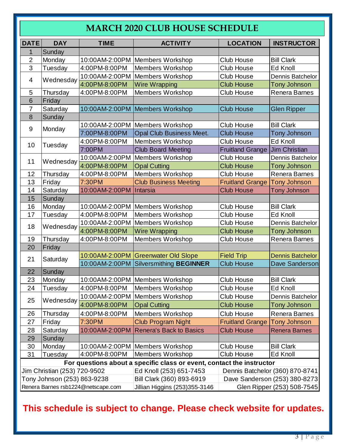#### **MARCH 2020 CLUB HOUSE SCHEDULE**

| <b>DATE</b>                                                                               | <b>DAY</b>                   | <b>TIME</b>                        | <b>ACTIVITY</b>                        | <b>LOCATION</b>                 | <b>INSTRUCTOR</b>          |  |  |  |  |
|-------------------------------------------------------------------------------------------|------------------------------|------------------------------------|----------------------------------------|---------------------------------|----------------------------|--|--|--|--|
| 1                                                                                         | Sunday                       |                                    |                                        |                                 |                            |  |  |  |  |
| $\overline{2}$                                                                            | Monday                       |                                    | 10:00AM-2:00PM   Members Workshop      | Club House                      | <b>Bill Clark</b>          |  |  |  |  |
| 3                                                                                         | Tuesday                      | 4:00PM-8:00PM                      | <b>Members Workshop</b>                | <b>Club House</b>               | Ed Knoll                   |  |  |  |  |
|                                                                                           |                              |                                    | 10:00AM-2:00PM Members Workshop        | <b>Club House</b>               | Dennis Batchelor           |  |  |  |  |
| 4                                                                                         | Wednesday                    | 4:00PM-8:00PM                      | <b>Wire Wrapping</b>                   | <b>Club House</b>               | <b>Tony Johnson</b>        |  |  |  |  |
| 5                                                                                         | Thursday                     | 4:00PM-8:00PM                      | Members Workshop                       | <b>Club House</b>               | Renera Barnes              |  |  |  |  |
| 6                                                                                         | Friday                       |                                    |                                        |                                 |                            |  |  |  |  |
| $\overline{7}$                                                                            | Saturday                     |                                    | 10:00AM-2:00PM Members Workshop        | <b>Club House</b>               | <b>Glen Ripper</b>         |  |  |  |  |
| 8                                                                                         | Sunday                       |                                    |                                        |                                 |                            |  |  |  |  |
| 9                                                                                         |                              |                                    | 10:00AM-2:00PM Members Workshop        | <b>Club House</b>               | <b>Bill Clark</b>          |  |  |  |  |
|                                                                                           | Monday                       | 7:00PM-8:00PM                      | <b>Opal Club Business Meet.</b>        | <b>Club House</b>               | <b>Tony Johnson</b>        |  |  |  |  |
| 10                                                                                        | Tuesday                      | 4:00PM-8:00PM                      | <b>Members Workshop</b>                | <b>Club House</b>               | Ed Knoll                   |  |  |  |  |
|                                                                                           |                              | 7:00PM                             | <b>Club Board Meeting</b>              | <b>Fruitland Grange</b>         | Jim Christian              |  |  |  |  |
| 11                                                                                        | Wednesday                    |                                    | 10:00AM-2:00PM Members Workshop        | <b>Club House</b>               | Dennis Batchelor           |  |  |  |  |
|                                                                                           |                              | 4:00PM-8:00PM                      | <b>Opal Cutting</b>                    | <b>Club House</b>               | Tony Johnson               |  |  |  |  |
| 12                                                                                        | Thursday                     | 4:00PM-8:00PM                      | Members Workshop                       | <b>Club House</b>               | Renera Barnes              |  |  |  |  |
| 13                                                                                        | Friday                       | 7:30PM                             | <b>Club Business Meeting</b>           | <b>Fruitland Grange</b>         | <b>Tony Johnson</b>        |  |  |  |  |
| 14                                                                                        | Saturday                     | 10:00AM-2:00PM   Intarsia          |                                        | <b>Club House</b>               | Tony Johnson               |  |  |  |  |
| 15                                                                                        | Sunday                       |                                    |                                        |                                 |                            |  |  |  |  |
| 16                                                                                        | Monday                       |                                    | 10:00AM-2:00PM Members Workshop        | Club House                      | <b>Bill Clark</b>          |  |  |  |  |
| 17                                                                                        | Tuesday                      | 4:00PM-8:00PM                      | <b>Members Workshop</b>                | <b>Club House</b>               | Ed Knoll                   |  |  |  |  |
| 18                                                                                        | Wednesday                    | 10:00AM-2:00PM                     | Members Workshop                       | <b>Club House</b>               | Dennis Batchelor           |  |  |  |  |
|                                                                                           |                              | 4:00PM-8:00PM                      | <b>Wire Wrapping</b>                   | <b>Club House</b>               | <b>Tony Johnson</b>        |  |  |  |  |
| 19                                                                                        | Thursday                     | 4:00PM-8:00PM                      | <b>Members Workshop</b>                | <b>Club House</b>               | Renera Barnes              |  |  |  |  |
| 20                                                                                        | Friday                       |                                    |                                        |                                 |                            |  |  |  |  |
| 21                                                                                        | Saturday                     |                                    | 10:00AM-2:00PM Greenwater Old Slope    | <b>Field Trip</b>               | <b>Dennis Batchelor</b>    |  |  |  |  |
|                                                                                           |                              |                                    | 10:00AM-2:00PM Silversmithing BEGINNER | <b>Club House</b>               | Dave Sanderson             |  |  |  |  |
| 22                                                                                        | Sunday                       |                                    |                                        |                                 |                            |  |  |  |  |
| 23                                                                                        | Monday                       |                                    | 10:00AM-2:00PM Members Workshop        | Club House                      | <b>Bill Clark</b>          |  |  |  |  |
| 24                                                                                        | <b>Tuesday</b>               | 4:00PM-8:00PM                      | Members Workshop                       | Club House                      | Ed Knoll                   |  |  |  |  |
| 25                                                                                        | Wednesday                    |                                    | 10:00AM-2:00PM   Members Workshop      | <b>Club House</b>               | Dennis Batchelor           |  |  |  |  |
|                                                                                           |                              | 4:00PM-8:00PM                      | <b>Opal Cutting</b>                    | <b>Club House</b>               | Tony Johnson               |  |  |  |  |
| 26                                                                                        | Thursday                     | 4:00PM-8:00PM                      | Members Workshop                       | <b>Club House</b>               | <b>Renera Barnes</b>       |  |  |  |  |
| 27                                                                                        | Friday                       | 7:30PM                             | <b>Club Program Night</b>              | <b>Fruitland Grange</b>         | <b>Tony Johnson</b>        |  |  |  |  |
| 28                                                                                        | Saturday                     |                                    | 10:00AM-2:00PM Renera's Back to Basics | <b>Club House</b>               | <b>Renera Barnes</b>       |  |  |  |  |
| 29                                                                                        | Sunday                       |                                    |                                        |                                 |                            |  |  |  |  |
| 30                                                                                        | Monday                       |                                    | 10:00AM-2:00PM Members Workshop        | Club House                      | <b>Bill Clark</b>          |  |  |  |  |
| 31                                                                                        | Tuesday                      | 4:00PM-8:00PM                      | Members Workshop                       | <b>Club House</b>               | Ed Knoll                   |  |  |  |  |
| For questions about a specific class or event, contact the instructor                     |                              |                                    |                                        |                                 |                            |  |  |  |  |
|                                                                                           | Jim Christian (253) 720-9502 |                                    | Ed Knoll (253) 651-7453                | Dennis Batchelor (360) 870-8741 |                            |  |  |  |  |
| Tony Johnson (253) 863-9238<br>Bill Clark (360) 893-6919<br>Dave Sanderson (253) 380-8273 |                              |                                    |                                        |                                 |                            |  |  |  |  |
|                                                                                           |                              | Renera Barnes rsb1224@netscape.com | Jillian Higgins (253)355-3146          |                                 | Glen Ripper (253) 508-7545 |  |  |  |  |
| This schedule is subject to change. Please check website for updates.                     |                              |                                    |                                        |                                 |                            |  |  |  |  |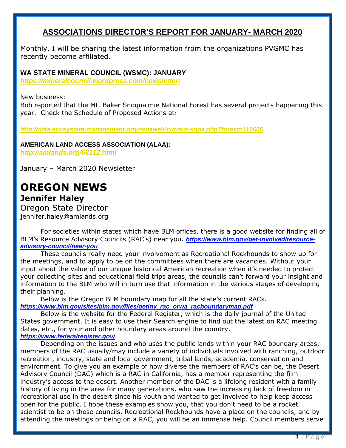#### **ASSOCIATIONS DIRECTOR'S REPORT FOR JANUARY- MARCH 2020**

Monthly, I will be sharing the latest information from the organizations PVGMC has recently become affiliated.

#### **WA STATE MINERAL COUNCIL (WSMC): JANUARY**

*<https://mineralcouncil.wordpress.com/newsletter/>*

New business:

Bob reported that the Mt. Baker Snoqualmie National Forest has several projects happening this year. Check the Schedule of Proposed Actions at:

*<http://data.ecosystem-management.org/nepaweb/current-sopa.php?forest=110605>*

**AMERICAN LAND ACCESS ASSOCIATION (ALAA):** *<http://amlands.org/68112.html>*

January – March 2020 Newsletter

#### **OREGON NEWS Jennifer Haley**

Oregon State Director jennifer.haley@amlands.org

For societies within states which have BLM offices, there is a good website for finding all of BLM's Resource Advisory Councils (RAC's) near you. *https://www.blm.gov/get-involved/resourceadvisory-council/near-you*

These councils really need your involvement as Recreational Rockhounds to show up for the meetings, and to apply to be on the committees when there are vacancies. Without your input about the value of our unique historical American recreation when it's needed to protect your collecting sites and educational field trips areas, the councils can't forward your insight and information to the BLM who will in turn use that information in the various stages of developing their planning.

Below is the Oregon BLM boundary map for all the state's current RACs. *https://www.blm.gov/sites/blm.gov/files/getinv\_rac\_orwa\_racboundarymap.pdf*

Below is the website for the Federal Register, which is the daily journal of the United States government. It is easy to use their Search engine to find out the latest on RAC meeting dates, etc., for your and other boundary areas around the country. *https://www.federalregister.gov/*

Depending on the issues and who uses the public lands within your RAC boundary areas, members of the RAC usually/may include a variety of individuals involved with ranching, outdoor recreation, industry, state and local government, tribal lands, academia, conservation and environment. To give you an example of how diverse the members of RAC's can be, the Desert Advisory Council (DAC) which is a RAC in California, has a member representing the film industry's access to the desert. Another member of the DAC is a lifelong resident with a family history of living in the area for many generations, who saw the increasing lack of freedom in recreational use in the desert since his youth and wanted to get involved to help keep access open for the public. I hope these examples show you, that you don't need to be a rocket scientist to be on these councils. Recreational Rockhounds have a place on the councils, and by attending the meetings or being on a RAC, you will be an immense help. Council members serve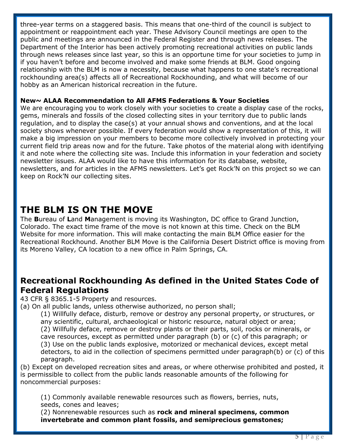three-year terms on a staggered basis. This means that one-third of the council is subject to appointment or reappointment each year. These Advisory Council meetings are open to the public and meetings are announced in the Federal Register and through news releases. The Department of the Interior has been actively promoting recreational activities on public lands through news releases since last year, so this is an opportune time for your societies to jump in if you haven't before and become involved and make some friends at BLM. Good ongoing relationship with the BLM is now a necessity, because what happens to one state's recreational rockhounding area(s) affects all of Recreational Rockhounding, and what will become of our hobby as an American historical recreation in the future.

#### **New~ ALAA Recommendation to All AFMS Federations & Your Societies**

We are encouraging you to work closely with your societies to create a display case of the rocks, gems, minerals and fossils of the closed collecting sites in your territory due to public lands regulation, and to display the case(s) at your annual shows and conventions, and at the local society shows whenever possible. If every federation would show a representation of this, it will make a big impression on your members to become more collectively involved in protecting your current field trip areas now and for the future. Take photos of the material along with identifying it and note where the collecting site was. Include this information in your federation and society newsletter issues. ALAA would like to have this information for its database, website, newsletters, and for articles in the AFMS newsletters. Let's get Rock'N on this project so we can keep on Rock'N our collecting sites.

#### **THE BLM IS ON THE MOVE**

The **B**ureau of **L**and **M**anagement is moving its Washington, DC office to Grand Junction, Colorado. The exact time frame of the move is not known at this time. Check on the BLM Website for more information. This will make contacting the main BLM Office easier for the Recreational Rockhound. Another BLM Move is the California Desert District office is moving from its Moreno Valley, CA location to a new office in Palm Springs, CA.

#### **Recreational Rockhounding As defined in the United States Code of Federal Regulations**

43 CFR § 8365.1-5 Property and resources.

(a) On all public lands, unless otherwise authorized, no person shall;

(1) Willfully deface, disturb, remove or destroy any personal property, or structures, or any scientific, cultural, archaeological or historic resource, natural object or area; (2) Willfully deface, remove or destroy plants or their parts, soil, rocks or minerals, or cave resources, except as permitted under paragraph (b) or (c) of this paragraph; or (3) Use on the public lands explosive, motorized or mechanical devices, except metal detectors, to aid in the collection of specimens permitted under paragraph(b) or (c) of this paragraph.

(b) Except on developed recreation sites and areas, or where otherwise prohibited and posted, it is permissible to collect from the public lands reasonable amounts of the following for noncommercial purposes:

(1) Commonly available renewable resources such as flowers, berries, nuts, seeds, cones and leaves;

(2) Nonrenewable resources such as **rock and mineral specimens, common invertebrate and common plant fossils, and semiprecious gemstones;**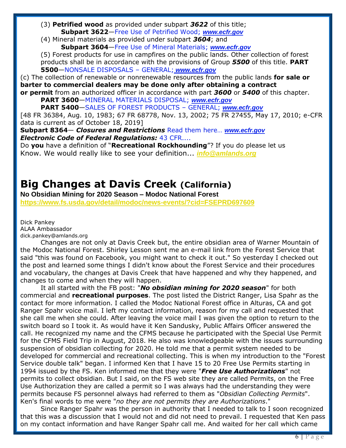- (3) **Petrified wood** as provided under subpart *3622* of this title; **Subpart 3622**—Free Use of Petrified Wood; *www.ecfr.gov*
- (4) Mineral materials as provided under subpart *3604*; and **Subpart 3604**—Free Use of Mineral Materials; *www.ecfr.gov*

(5) Forest products for use in campfires on the public lands. Other collection of forest products shall be in accordance with the provisions of Group *5500* of this title. **PART 5500**—NONSALE DISPOSALS – GENERAL; *www.ecfr.gov*

(c) The collection of renewable or nonrenewable resources from the public lands **for sale or barter to commercial dealers may be done only after obtaining a contract or permit** from an authorized officer in accordance with part *3600* or *5400* of this chapter.

**PART 3600**—MINERAL MATERIALS DISPOSAL; *www.ecfr.gov*

**PART 5400**—SALES OF FOREST PRODUCTS – GENERAL; *www.ecfr.gov*

[48 FR 36384, Aug. 10, 1983; 67 FR 68778, Nov. 13, 2002; 75 FR 27455, May 17, 2010; e-CFR data is current as of October 18, 2019]

**Subpart 8364**— *Closures and Restrictions* Read them here… *www.ecfr.gov Electronic Code of Federal Regulations:* 43 CFR....

Do **you** have a definition of "**Recreational Rockhounding**"? If you do please let us Know. We would really like to see your definition... *[info@amlands.org](mailto:info@amlands.org)*

#### **Big Changes at Davis Creek (California)**

**No Obsidian Mining for 2020 Season – Modoc National Forest <https://www.fs.usda.gov/detail/modoc/news-events/?cid=FSEPRD697609>**

Dick Pankey ALAA Ambassador dick.pankey@amlands.org

Changes are not only at Davis Creek but, the entire obsidian area of Warner Mountain of the Modoc National Forest. Shirley Lesson sent me an e-mail link from the Forest Service that said "this was found on Facebook, you might want to check it out." So yesterday I checked out the post and learned some things I didn't know about the Forest Service and their procedures and vocabulary, the changes at Davis Creek that have happened and why they happened, and changes to come and when they will happen.

It all started with the FB post: "*No obsidian mining for 2020 season*" for both commercial and **recreational purposes**. The post listed the District Ranger, Lisa Spahr as the contact for more information. I called the Modoc National Forest office in Alturas, CA and got Ranger Spahr voice mail. I left my contact information, reason for my call and requested that she call me when she could. After leaving the voice mail I was given the option to return to the switch board so I took it. As would have it Ken Sandusky, Public Affairs Officer answered the call. He recognized my name and the CFMS because he participated with the Special Use Permit for the CFMS Field Trip in August, 2018. He also was knowledgeable with the issues surrounding suspension of obsidian collecting for 2020. He told me that a permit system needed to be developed for commercial and recreational collecting. This is when my introduction to the "Forest Service double talk" began. I informed Ken that I have 15 to 20 Free Use Permits starting in 1994 issued by the FS. Ken informed me that they were "*Free Use Authorizations*" not permits to collect obsidian. But I said, on the FS web site they are called Permits, on the Free Use Authorization they are called a permit so I was always had the understanding they were permits because FS personnel always had referred to them as "*Obsidian Collecting Permits*". Ken's final words to me were "*no they are not permits they are Authorizations*."

Since Ranger Spahr was the person in authority that I needed to talk to I soon recognized that this was a discussion that I would not and did not need to prevail. I requested that Ken pass on my contact information and have Ranger Spahr call me. And waited for her call which came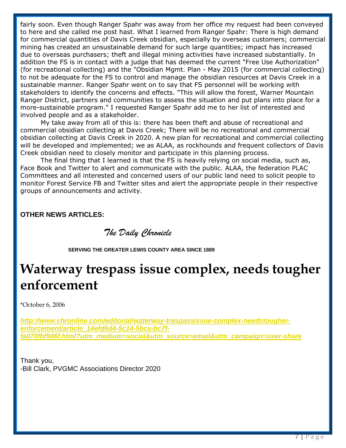fairly soon. Even though Ranger Spahr was away from her office my request had been conveyed to here and she called me post hast. What I learned from Ranger Spahr: There is high demand for commercial quantities of Davis Creek obsidian, especially by overseas customers; commercial mining has created an unsustainable demand for such large quantities; impact has increased due to overseas purchasers; theft and illegal mining activities have increased substantially. In addition the FS is in contact with a judge that has deemed the current "Free Use Authorization" (for recreational collecting) and the "Obsidian Mgmt. Plan - May 2015 (for commercial collecting) to not be adequate for the FS to control and manage the obsidian resources at Davis Creek in a sustainable manner. Ranger Spahr went on to say that FS personnel will be working with stakeholders to identify the concerns and effects. "This will allow the forest, Warner Mountain Ranger District, partners and communities to assess the situation and put plans into place for a more-sustainable program." I requested Ranger Spahr add me to her list of interested and involved people and as a stakeholder.

My take away from all of this is: there has been theft and abuse of recreational and commercial obsidian collecting at Davis Creek; There will be no recreational and commercial obsidian collecting at Davis Creek in 2020. A new plan for recreational and commercial collecting will be developed and implemented; we as ALAA, as rockhounds and frequent collectors of Davis Creek obsidian need to closely monitor and participate in this planning process.

The final thing that I learned is that the FS is heavily relying on social media, such as, Face Book and Twitter to alert and communicate with the public. ALAA, the federation PLAC Committees and all interested and concerned users of our public land need to solicit people to monitor Forest Service FB and Twitter sites and alert the appropriate people in their respective groups of announcements and activity.

#### **OTHER NEWS ARTICLES:**

 *The Daily Chronicle*

 **SERVING THE GREATER LEWIS COUNTY AREA SINCE 1889**

## **Waterway trespass issue complex, needs tougher enforcement**

\*October 6, 2006

*[http://www.chronline.com/editorial/waterway-trespassissue-complex-needstougher](http://www.chronline.com/editorial/waterway-trespassissue-complex-needstougher-enforcement/article_14efd6d4-5c14-5bca-bc7f-fa070fbf906f.html?utm_medium=social&utm_source=email&utm_campaign=user-share)[enforcement/article\\_14efd6d4-5c14-5bca-bc7f](http://www.chronline.com/editorial/waterway-trespassissue-complex-needstougher-enforcement/article_14efd6d4-5c14-5bca-bc7f-fa070fbf906f.html?utm_medium=social&utm_source=email&utm_campaign=user-share)[fa070fbf906f.html?utm\\_medium=social&utm\\_source=email&utm\\_campaign=user-share](http://www.chronline.com/editorial/waterway-trespassissue-complex-needstougher-enforcement/article_14efd6d4-5c14-5bca-bc7f-fa070fbf906f.html?utm_medium=social&utm_source=email&utm_campaign=user-share)*

Thank you, -Bill Clark, PVGMC Associations Director 2020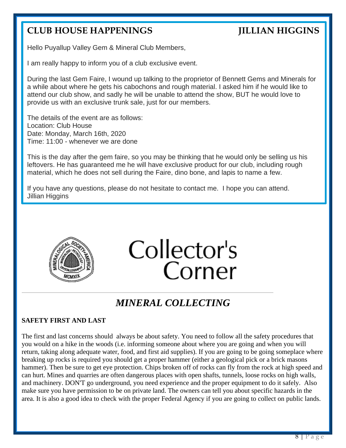#### **CLUB HOUSE HAPPENINGS JILLIAN HIGGINS**

Hello Puyallup Valley Gem & Mineral Club Members,

I am really happy to inform you of a club exclusive event.

During the last Gem Faire, I wound up talking to the proprietor of Bennett Gems and Minerals for a while about where he gets his cabochons and rough material. I asked him if he would like to attend our club show, and sadly he will be unable to attend the show, BUT he would love to provide us with an exclusive trunk sale, just for our members.

The details of the event are as follows: Location: Club House Date: Monday, March 16th, 2020 Time: 11:00 - whenever we are done

This is the day after the gem faire, so you may be thinking that he would only be selling us his leftovers. He has guaranteed me he will have exclusive product for our club, including rough material, which he does not sell during the Faire, dino bone, and lapis to name a few.

If you have any questions, please do not hesitate to contact me. I hope you can attend. Jillian Higgins



Collector's Corner

#### *MINERAL COLLECTING*

#### **SAFETY FIRST AND LAST**

The first and last concerns should always be about safety. You need to follow all the safety procedures that you would on a hike in the woods (i.e. informing someone about where you are going and when you will return, taking along adequate water, food, and first aid supplies). If you are going to be going someplace where breaking up rocks is required you should get a proper hammer (either a geological pick or a brick masons hammer). Then be sure to get eye protection. Chips broken off of rocks can fly from the rock at high speed and can hurt. Mines and quarries are often dangerous places with open shafts, tunnels, loose rocks on high walls, and machinery. DON'T go underground, you need experience and the proper equipment to do it safely. Also make sure you have permission to be on private land. The owners can tell you about specific hazards in the area. It is also a good idea to check with the proper Federal Agency if you are going to collect on public lands.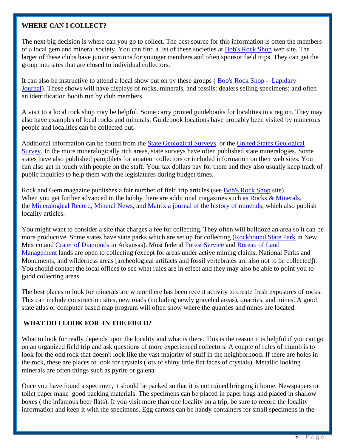#### **WHERE CAN I COLLECT?**

The next big decision is where can you go to collect. The best source for this information is often the members of a local gem and mineral society. You can find a list of these societies at [Bob's Rock Shop](http://www.rockhounds.com/rockshop/table.html) web site. The larger of these clubs have junior sections for younger members and often sponsor field trips. They can get the group into sites that are closed to individual collectors.

It can also be instructive to attend a local show put on by these groups ( [Bob's Rock Shop](http://www.rockhounds.com/rockshop/clublist.shtml) - [Lapidary](http://www.lapidaryjournal.com/)  [Journal\)](http://www.lapidaryjournal.com/). These shows will have displays of rocks, minerals, and fossils: dealers selling specimens; and often an identification booth run by club members.

A visit to a local rock shop may be helpful. Some carry printed guidebooks for localities in a region. They may also have examples of local rocks and minerals. Guidebook locations have probably been visited by numerous people and localities can be collected out.

Additional information can be found from the [State Geological Surveys](http://www.kgs.ukans.edu/AASG/AASG.html) or the [United States Geological](http://www.usgs.gov/)  [Survey.](http://www.usgs.gov/) In the more mineralogically rich areas, state surveys have often published state mineralogies. Some states have also published pamphlets for amateur collectors or included information on their web sites. You can also get in touch with people on the staff. Your tax dollars pay for them and they also usually keep track of public inquiries to help them with the legislatures during budget times.

Rock and Gem magazine publishes a fair number of field trip articles (see [Bob's Rock Shop](http://www.rockhounds.com/rockshop/table.html) site). When you get further advanced in the hobby there are additional magazines such as [Rocks & Minerals,](http://www.rocksandminerals.org/) the [Mineralogical Record,](http://www.minrec.org/) [Mineral News,](http://www.mineralnews.com/) and [Matrix a journal of the history of minerals;](http://www.matrixpublishing.com/) which also publish locality articles.

You might want to consider a site that charges a fee for collecting. They often will bulldoze an area so it can be more productive. Some states have state parks which are set up for collecting [\(Rockhound State Park](http://www.emnrd.state.nm.us/nmparks/PAGES/parks/rockh/rockh.htm) in New Mexico and [Crater of Diamonds](http://www.craterofdiamondsstatepark.com/) in Arkansas). Most federal [Forest Service](http://www.fs.fed.us/gsearch/minerals) and [Bureau of Land](http://www.blm.gov/wo/st/en.html)  [Management](http://www.blm.gov/wo/st/en.html) lands are open to collecting (except for areas under active mining claims, National Parks and Monuments, and wilderness areas [archeological artifacts and fossil vertebrates are also not to be collected]). You should contact the local offices to see what rules are in effect and they may also be able to point you to good collecting areas.

The best places to look for minerals are where there has been recent activity to create fresh exposures of rocks. This can include construction sites, new roads (including newly graveled areas), quarries, and mines. A good state atlas or computer based map program will often show where the quarries and mines are located.

#### **WHAT DO I LOOK FOR IN THE FIELD?**

What to look for really depends upon the locality and what is there. This is the reason it is helpful if you can go on an organized field trip and ask questions of more experienced collectors. A couple of rules of thumb is to look for the odd rock that doesn't look like the vast majority of stuff in the neighborhood. If there are holes in the rock, these are places to look for crystals (lots of shiny little flat faces of crystals). Metallic looking minerals are often things such as pyrite or galena.

Once you have found a specimen, it should be packed so that it is not ruined bringing it home. Newspapers or toilet paper make good packing materials. The specimens can be placed in paper bags and placed in shallow boxes ( the infamous beer flats). If you visit more than one locality on a trip, be sure to record the locality information and keep it with the specimens. Egg cartons can be handy containers for small specimens in the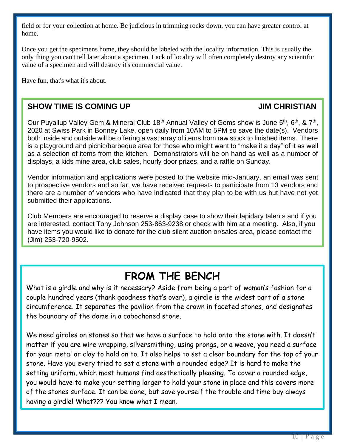field or for your collection at home. Be judicious in trimming rocks down, you can have greater control at home.

Once you get the specimens home, they should be labeled with the locality information. This is usually the only thing you can't tell later about a specimen. Lack of locality will often completely destroy any scientific value of a specimen and will destroy it's commercial value.

Have fun, that's what it's about.

#### **SHOW TIME IS COMING UP A COMO A COMING UP JIM CHRISTIAN**

Our Puyallup Valley Gem & Mineral Club 18<sup>th</sup> Annual Valley of Gems show is June 5<sup>th</sup>, 6<sup>th</sup>, & 7<sup>th</sup>, 2020 at Swiss Park in Bonney Lake, open daily from 10AM to 5PM so save the date(s). Vendors both inside and outside will be offering a vast array of items from raw stock to finished items. There is a playground and picnic/barbeque area for those who might want to "make it a day" of it as well as a selection of items from the kitchen. Demonstrators will be on hand as well as a number of displays, a kids mine area, club sales, hourly door prizes, and a raffle on Sunday.

Vendor information and applications were posted to the website mid-January, an email was sent to prospective vendors and so far, we have received requests to participate from 13 vendors and there are a number of vendors who have indicated that they plan to be with us but have not yet submitted their applications.

Club Members are encouraged to reserve a display case to show their lapidary talents and if you are interested, contact Tony Johnson 253-863-9238 or check with him at a meeting. Also, if you have items you would like to donate for the club silent auction or/sales area, please contact me (Jim) 253-720-9502.

#### **FROM THE BENCH**

What is a girdle and why is it necessary? Aside from being a part of woman's fashion for a couple hundred years (thank goodness that's over), a girdle is the widest part of a stone circumference. It separates the pavilion from the crown in faceted stones, and designates the boundary of the dome in a cabochoned stone.

We need girdles on stones so that we have a surface to hold onto the stone with. It doesn't matter if you are wire wrapping, silversmithing, using prongs, or a weave, you need a surface for your metal or clay to hold on to. It also helps to set a clear boundary for the top of your stone. Have you every tried to set a stone with a rounded edge? It is hard to make the setting uniform, which most humans find aesthetically pleasing. To cover a rounded edge, you would have to make your setting larger to hold your stone in place and this covers more of the stones surface. It can be done, but save yourself the trouble and time buy always having a girdle! What??? You know what I mean.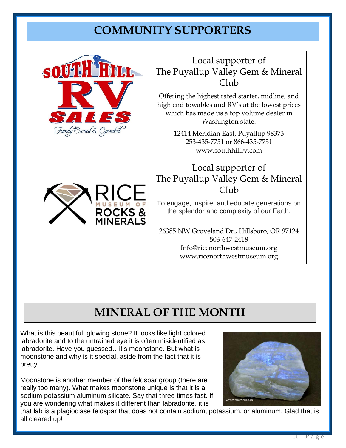#### **COMMUNITY SUPPORTERS**

| SO                                             | Local supporter of<br>The Puyallup Valley Gem & Mineral<br>Club                                                                                                      |  |  |  |  |
|------------------------------------------------|----------------------------------------------------------------------------------------------------------------------------------------------------------------------|--|--|--|--|
| $\frac{1}{4}$<br>$\mathbb{Z}$<br>$\frac{1}{2}$ | Offering the highest rated starter, midline, and<br>high end towables and RV's at the lowest prices<br>which has made us a top volume dealer in<br>Washington state. |  |  |  |  |
| Family Owned & Operated                        | 12414 Meridian East, Puyallup 98373<br>253-435-7751 or 866-435-7751<br>www.southhillrv.com                                                                           |  |  |  |  |
|                                                | Local supporter of                                                                                                                                                   |  |  |  |  |
|                                                | The Puyallup Valley Gem & Mineral<br>Club                                                                                                                            |  |  |  |  |
| <b>ROCKS&amp;</b><br><b>INERALS</b>            | To engage, inspire, and educate generations on<br>the splendor and complexity of our Earth.                                                                          |  |  |  |  |
|                                                | 26385 NW Groveland Dr., Hillsboro, OR 97124<br>503-647-2418                                                                                                          |  |  |  |  |
|                                                | Info@ricenorthwestmuseum.org<br>www.ricenorthwestmuseum.org                                                                                                          |  |  |  |  |

### **MINERAL OF THE MONTH**

What is this beautiful, glowing stone? It looks like light colored labradorite and to the untrained eye it is often misidentified as labradorite. Have you guessed…it's moonstone. But what is moonstone and why is it special, aside from the fact that it is pretty.

Moonstone is another member of the feldspar group (there are really too many). What makes moonstone unique is that it is a sodium potassium aluminum silicate. Say that three times fast. If you are wondering what makes it different than labradorite, it is



that lab is a plagioclase feldspar that does not contain sodium, potassium, or aluminum. Glad that is all cleared up!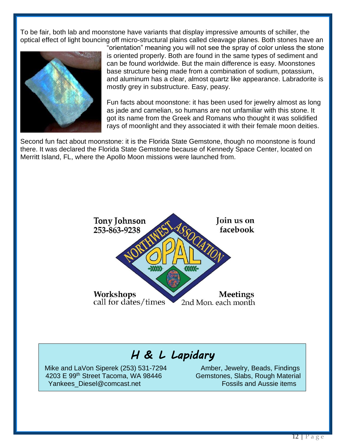To be fair, both lab and moonstone have variants that display impressive amounts of schiller, the optical effect of light bouncing off micro-structural plains called cleavage planes. Both stones have an



"orientation" meaning you will not see the spray of color unless the stone is oriented properly. Both are found in the same types of sediment and can be found worldwide. But the main difference is easy. Moonstones base structure being made from a combination of sodium, potassium, and aluminum has a clear, almost quartz like appearance. Labradorite is mostly grey in substructure. Easy, peasy.

Fun facts about moonstone: it has been used for jewelry almost as long as jade and carnelian, so humans are not unfamiliar with this stone. It got its name from the Greek and Romans who thought it was solidified rays of moonlight and they associated it with their female moon deities.

Second fun fact about moonstone: it is the Florida State Gemstone, though no moonstone is found there. It was declared the Florida State Gemstone because of Kennedy Space Center, located on Merritt Island, FL, where the Apollo Moon missions were launched from.



#### *H & L Lapidary*

Mike and LaVon Siperek (253) 531-7294 Amber, Jewelry, Beads, Findings 4203 E 99<sup>th</sup> Street Tacoma, WA 98446 Gemstones, Slabs, Rough Material Yankees Diesel@comcast.net Fossils and Aussie items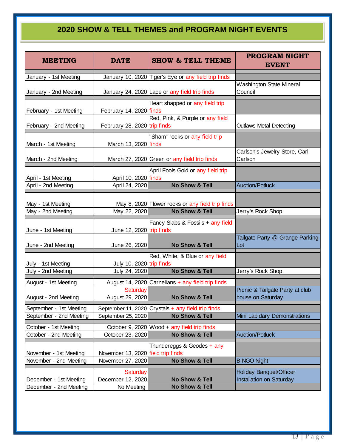#### **2020 SHOW & TELL THEMES and PROGRAM NIGHT EVENTS**

| <b>MEETING</b>                                     | <b>DATE</b>                                             | <b>SHOW &amp; TELL THEME</b>                                               | <b>PROGRAM NIGHT</b><br><b>EVENT</b>                 |  |  |  |
|----------------------------------------------------|---------------------------------------------------------|----------------------------------------------------------------------------|------------------------------------------------------|--|--|--|
| January - 1st Meeting                              |                                                         | January 10, 2020 Tiger's Eye or any field trip finds                       |                                                      |  |  |  |
| January - 2nd Meeting                              |                                                         | January 24, 2020 Lace or any field trip finds                              | Washington State Mineral<br>Council                  |  |  |  |
| February - 1st Meeting                             | February 14, 2020 finds                                 | Heart shapped or any field trip                                            |                                                      |  |  |  |
| February - 2nd Meeting                             | February 28, 2020 trip finds                            | Red, Pink, & Purple or any field                                           | <b>Outlaws Metal Detecting</b>                       |  |  |  |
| March - 1st Meeting                                | March 13, 2020 finds                                    | "Sham" rocks or any field trip                                             |                                                      |  |  |  |
| March - 2nd Meeting                                |                                                         | March 27, 2020 Green or any field trip finds                               | Carlson's Jewelry Store, Carl<br>Carlson             |  |  |  |
| April - 1st Meeting                                | April 10, 2020 finds                                    | April Fools Gold or any field trip                                         |                                                      |  |  |  |
| April - 2nd Meeting                                | April 24, 2020                                          | <b>No Show &amp; Tell</b>                                                  | Auction/Potluck                                      |  |  |  |
| May - 1st Meeting                                  |                                                         | May 8, 2020 Flower rocks or any field trip finds                           |                                                      |  |  |  |
| May - 2nd Meeting                                  | May 22, 2020                                            | No Show & Tell                                                             | Jerry's Rock Shop                                    |  |  |  |
| June - 1st Meeting                                 | June 12, 2020 trip finds                                | Fancy Slabs & Fossils + any field                                          |                                                      |  |  |  |
| June - 2nd Meeting                                 | June 26, 2020                                           | No Show & Tell                                                             | Tailgate Party @ Grange Parking<br>Lot               |  |  |  |
| July - 1st Meeting                                 | July 10, 2020 trip finds                                | Red, White, & Blue or any field                                            |                                                      |  |  |  |
| July - 2nd Meeting                                 | July 24, 2020                                           | <b>No Show &amp; Tell</b>                                                  | Jerry's Rock Shop                                    |  |  |  |
| August - 1st Meeting                               |                                                         | August 14, 2020 Carnelians + any field trip finds                          |                                                      |  |  |  |
| August - 2nd Meeting                               | Saturday<br>August 29, 2020                             | <b>No Show &amp; Tell</b>                                                  | Picnic & Tailgate Party at club<br>house on Saturday |  |  |  |
| September - 1st Meeting<br>September - 2nd Meeting | September 25, 2020                                      | September 11, 2020 Crystals $+$ any field trip finds<br>No Show & Tell     | Mini Lapidary Demonstrations                         |  |  |  |
| October - 1st Meeting<br>October - 2nd Meeting     | October 23, 2020                                        | October 9, 2020   Wood + any field trip finds<br><b>No Show &amp; Tell</b> | <b>Auction/Potluck</b>                               |  |  |  |
| November - 1st Meeting<br>November - 2nd Meeting   | November 13, 2020 field trip finds<br>November 27, 2020 | Thundereggs & Geodes + any<br><b>No Show &amp; Tell</b>                    | <b>BINGO Night</b>                                   |  |  |  |
| December - 1st Meeting<br>December - 2nd Meeting   | Saturday<br>December 12, 2020<br>No Meeting             | No Show & Tell<br>No Show & Tell                                           | Holiday Banquet/Officer<br>Installation on Saturday  |  |  |  |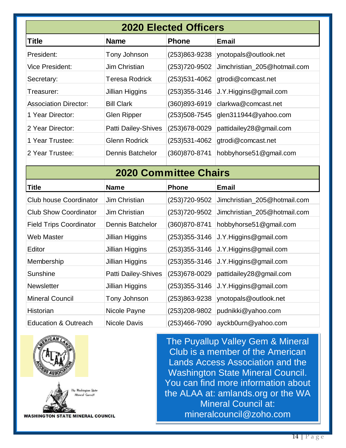| <b>2020 Elected Officers</b>    |                            |                   |                              |  |  |  |  |  |  |
|---------------------------------|----------------------------|-------------------|------------------------------|--|--|--|--|--|--|
| <b>Title</b>                    | <b>Email</b>               |                   |                              |  |  |  |  |  |  |
| President:                      | Tony Johnson               | (253)863-9238     | ynotopals@outlook.net        |  |  |  |  |  |  |
| <b>Vice President:</b>          | <b>Jim Christian</b>       | (253) 720-9502    | Jimchristian_205@hotmail.com |  |  |  |  |  |  |
| Secretary:                      | <b>Teresa Rodrick</b>      | (253) 531-4062    | gtrodi@comcast.net           |  |  |  |  |  |  |
| Treasurer:                      | <b>Jillian Higgins</b>     | $(253)355 - 3146$ | J.Y.Higgins@gmail.com        |  |  |  |  |  |  |
| <b>Association Director:</b>    | <b>Bill Clark</b>          | (360)893-6919     | clarkwa@comcast.net          |  |  |  |  |  |  |
| 1 Year Director:                | <b>Glen Ripper</b>         | $(253)508 - 7545$ | glen311944@yahoo.com         |  |  |  |  |  |  |
| 2 Year Director:                | Patti Dailey-Shives        | (253) 678-0029    | pattidailey28@gmail.com      |  |  |  |  |  |  |
| 1 Year Trustee:                 | <b>Glenn Rodrick</b>       | (253) 531-4062    | gtrodi@comcast.net           |  |  |  |  |  |  |
| 2 Year Trustee:                 | <b>Dennis Batchelor</b>    | (360)870-8741     | hobbyhorse51@gmail.com       |  |  |  |  |  |  |
| <b>2020 Committee Chairs</b>    |                            |                   |                              |  |  |  |  |  |  |
|                                 |                            |                   |                              |  |  |  |  |  |  |
| Title                           | <b>Name</b>                | <b>Phone</b>      | <b>Email</b>                 |  |  |  |  |  |  |
| <b>Club house Coordinator</b>   | Jim Christian              | (253) 720-9502    | Jimchristian_205@hotmail.com |  |  |  |  |  |  |
| <b>Club Show Coordinator</b>    | Jim Christian              | (253) 720-9502    | Jimchristian_205@hotmail.com |  |  |  |  |  |  |
| <b>Field Trips Coordinator</b>  | <b>Dennis Batchelor</b>    | (360) 870-8741    | hobbyhorse51@gmail.com       |  |  |  |  |  |  |
| <b>Web Master</b>               | <b>Jillian Higgins</b>     | $(253)355 - 3146$ | J.Y. Higgins @gmail.com      |  |  |  |  |  |  |
| Editor                          | <b>Jillian Higgins</b>     | $(253)355 - 3146$ | J.Y. Higgins @gmail.com      |  |  |  |  |  |  |
| Membership                      | <b>Jillian Higgins</b>     | $(253)355 - 3146$ | J.Y.Higgins@gmail.com        |  |  |  |  |  |  |
| Sunshine                        | <b>Patti Dailey-Shives</b> | (253) 678-0029    | pattidailey28@gmail.com      |  |  |  |  |  |  |
| Newsletter                      | Jillian Higgins            | $(253)355 - 3146$ | J.Y. Higgins @gmail.com      |  |  |  |  |  |  |
| <b>Mineral Council</b>          | Tony Johnson               | (253)863-9238     | ynotopals@outlook.net        |  |  |  |  |  |  |
| Historian                       | Nicole Payne               | (253)208-9802     | pudnikki@yahoo.com           |  |  |  |  |  |  |
| <b>Education &amp; Outreach</b> | Nicole Davis               | $(253)466 - 7090$ | ayckb0urn@yahoo.com          |  |  |  |  |  |  |



j

**WASHINGTON STATE MINERAL COUNCIL** 

The Puyallup Valley Gem & Mineral Club is a member of the American Lands Access Association and the Washington State Mineral Council. You can find more information about the ALAA at: amlands.org or the WA Mineral Council at: mineralcouncil@zoho.com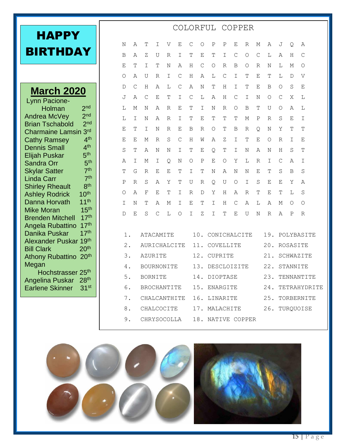| НАРРҮ           |  |  |
|-----------------|--|--|
| <b>BIRTHDAY</b> |  |  |

#### **March 2020** Lynn Pacione- Holman 2<sup>nd</sup><br>ea McVev 2<sup>nd</sup> Andrea McVey 2<sup>nd</sup><br>Brian Tschabold 2<sup>nd</sup> **Brian Tschabold** Charmaine Lamsin 3rd<br>Cathy Ramsey 4th Cathy Ramsey 4th<br>Dennis Small 4th Dennis Small 4th<br>Elijah Puskar 5th Elijah Puskar 5<sup>th</sup><br>Sandra Orr 5th Sandra Orr 5<sup>th</sup><br>Skylar Satter 7<sup>th</sup> Skylar Satter 7th<br>Linda Carr 7th Linda Carr Shirley Rheault 8th<br>Ashley Rodrick 10th Ashley Rodrick 10th<br>Danna Horvath 11th Danna Horvath 11<sup>th</sup><br>Mike Moran 15<sup>th</sup> **Mike Moran** Brenden Mitchell 17th

Angela Rubattino 17<sup>th</sup><br>Danika Puskar 17<sup>th</sup>

Alexander Puskar 19th Bill Clark 20<sup>th</sup> Athony Rubattino 20<sup>th</sup>

Hochstrasser 25<sup>th</sup> Angelina Puskar 28th Earlene Skinner 31st

Danika Puskar

Megan

| Ν             | Α | T                | Ι            | V | Ε            | С               | O           | Ρ               | Ρ | Ε       | R          | М           | Α            | J            | Q            | Α             |
|---------------|---|------------------|--------------|---|--------------|-----------------|-------------|-----------------|---|---------|------------|-------------|--------------|--------------|--------------|---------------|
| В             | Α | Ζ                | U            | R | Ι            | T               | E           | T               | Ι | C       | O          | $\mathsf C$ | L            | Α            | Η            | С             |
| Ε             | T | T                | T            | Ν | Α            | Η               | $\mathsf C$ | O               | R | B       | O          | R           | N            | L            | М            | $\Omega$      |
| O             | Α | U                | R            | I | $\mathsf{C}$ | H               | Α           | L               | C | I       | T          | Ε           | T            | L            | $\mathbb D$  | $\mathbf{V}$  |
| D             | C | Η                | Α            | L | C            | Α               | N           | T               | Н | I       | т          | Е           | Β            | $\bigcirc$   | S            | Ε             |
| J             | Α | $\mathcal{C}$    | Ε            | T | I            | C               | L           | Α               | Н | C       | I          | N           | O            | $\mathsf{C}$ | Χ            | L             |
| L             | М | N                | Α            | R | Ε            | T               | I           | N               | R | O       | B          | T           | U            | $\bigcirc$   | Α            | L             |
| L             | I | N                | Α            | R | I            | Τ               | Ε           | T               | Т | Т       | М          | Ρ           | R            | S            | Ε            | I             |
| Ε             | т | I                | Ν            | R | Ε            | B               | R           | O               | Т | B       | R          | O           | Ν            | Υ            | Т            | T             |
| Ε             | Ε | Μ                | R            | S | $\mathsf{C}$ | Η               | W           | Α               | Ζ | I       | т          | E           | O            | R            | I            | Ε             |
| $\rm S$       | т | Α                | Ν            | N | I            | T               | Ε           | Q               | T | I       | Ν          | Α           | Ν            | Η            | S            | T             |
| Α             | I | Μ                | Ι            | Q | Ν            | O               | Ρ           | Ε               | О | Υ       | L          | R           | Ι            | C            | Α            | $\mathbbm{I}$ |
| $\mathbb T$   | G | R                | Ε            | Ε | Т            | I               | т           | Ν               | Α | Ν       | Ν          | Ε           | Т            | S            | B            | S             |
| Ρ             | R | S                | Α            | Υ | Τ            | U               | R           | Q.              | U | $\circ$ | I          | S           | Ε            | Ε            | Υ            | Α             |
| О             | Α | F                | Ε            | Τ | Ι            | R               | D           | Υ               | Н | Α       | R          | т           | Ε            | Т            | L            | $\rm S$       |
| $\mathbbm{I}$ | Ν | T                | Α            | Μ | Ι            | Ε               | T           | I               | Н | C       | Α          | L           | Α            | Μ            | O            | $\bigcirc$    |
| D             | Е | S                | $\mathsf{C}$ | L | $\circ$      | I               | Ζ           | I               | Τ | E       | U          | N           | $\mathbb{R}$ | $\mathbb{A}$ | $\mathsf{P}$ | $\mathbb R$   |
|               |   |                  |              |   |              |                 |             |                 |   |         |            |             |              |              |              |               |
| $1$ .         |   | <b>ATACAMITE</b> |              |   |              |                 | 10.         | CONICHALCITE    |   |         |            | 19.         | POLYBASITE   |              |              |               |
| $2$ .         |   | AURICHALCITE     |              |   |              |                 | 11.         | COVELLITE       |   |         |            | 20.         | ROSASITE     |              |              |               |
| 3.            |   | <b>AZURITE</b>   |              |   |              |                 | 12.         | <b>CUPRITE</b>  |   |         |            | 21.         | SCHWAZITE    |              |              |               |
| 4.            |   | BOURNONITE       |              |   | 13.          | DESCLOIZITE     |             |                 |   | 22.     | STANNITE   |             |              |              |              |               |
| 5.            |   | <b>BORNITE</b>   |              |   | 14.          | <b>DIOPTASE</b> |             |                 |   | 23.     | TENNANTITE |             |              |              |              |               |
| 6.            |   | BROCHANTITE      |              |   |              |                 | 15.         | <b>ENARGITE</b> |   |         |            | 24.         | TETRAHYDRITE |              |              |               |
| $\mathbf 7$ . |   | CHALCANTHITE     |              |   |              |                 | 16.         | LINARITE        |   |         |            |             | 25.          |              |              | TORBERNITE    |
| 8.            |   | CHALCOCITE       |              |   |              |                 | 17.         | MALACHITE       |   |         |            |             | 26.          |              |              | TURQUOISE     |
| $9$ .         |   | CHRYSOCOLLA      |              |   |              |                 | 18.         | NATIVE COPPER   |   |         |            |             |              |              |              |               |

COLORFUL COPPER